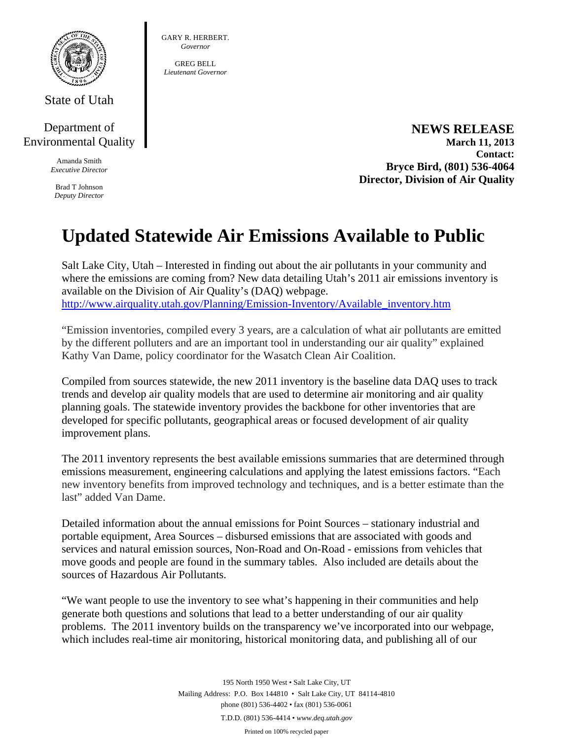

State of Utah

## Department of Environmental Quality

Amanda Smith *Executive Director* 

Brad T Johnson *Deputy Director*  GARY R. HERBERT. *Governor* 

GREG BELL *Lieutenant Governor* 

> **NEWS RELEASE March 11, 2013 Contact: Bryce Bird, (801) 536-4064 Director, Division of Air Quality**

## **Updated Statewide Air Emissions Available to Public**

Salt Lake City, Utah – Interested in finding out about the air pollutants in your community and where the emissions are coming from? New data detailing Utah's 2011 air emissions inventory is available on the Division of Air Quality's (DAQ) webpage. http://www.airquality.utah.gov/Planning/Emission-Inventory/Available\_inventory.htm

"Emission inventories, compiled every 3 years, are a calculation of what air pollutants are emitted by the different polluters and are an important tool in understanding our air quality" explained Kathy Van Dame, policy coordinator for the Wasatch Clean Air Coalition.

Compiled from sources statewide, the new 2011 inventory is the baseline data DAQ uses to track trends and develop air quality models that are used to determine air monitoring and air quality planning goals. The statewide inventory provides the backbone for other inventories that are developed for specific pollutants, geographical areas or focused development of air quality improvement plans.

The 2011 inventory represents the best available emissions summaries that are determined through emissions measurement, engineering calculations and applying the latest emissions factors. "Each new inventory benefits from improved technology and techniques, and is a better estimate than the last" added Van Dame.

Detailed information about the annual emissions for Point Sources – stationary industrial and portable equipment, Area Sources – disbursed emissions that are associated with goods and services and natural emission sources, Non-Road and On-Road - emissions from vehicles that move goods and people are found in the summary tables. Also included are details about the sources of Hazardous Air Pollutants.

"We want people to use the inventory to see what's happening in their communities and help generate both questions and solutions that lead to a better understanding of our air quality problems. The 2011 inventory builds on the transparency we've incorporated into our webpage, which includes real-time air monitoring, historical monitoring data, and publishing all of our

> 195 North 1950 West • Salt Lake City, UT Mailing Address: P.O. Box 144810 • Salt Lake City, UT 84114-4810 phone (801) 536-4402 • fax (801) 536-0061 T.D.D. (801) 536-4414 • *www.deq.utah.gov*  Printed on 100% recycled paper